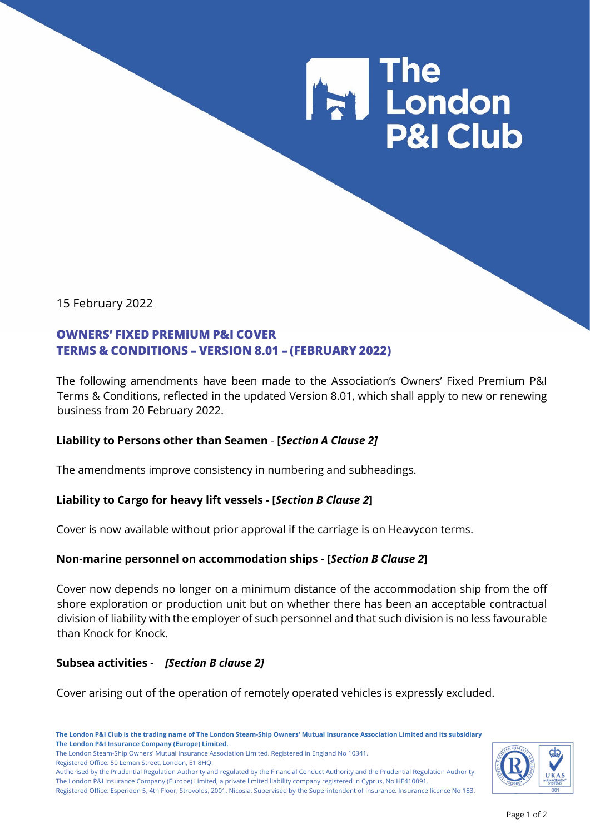

15 February 2022

# **OWNERS' FIXED PREMIUM P&I COVER TERMS & CONDITIONS – VERSION 8.01 – (FEBRUARY 2022)**

The following amendments have been made to the Association's Owners' Fixed Premium P&I Terms & Conditions, reflected in the updated Version 8.01, which shall apply to new or renewing business from 20 February 2022.

## **Liability to Persons other than Seamen** - **[***Section A Clause 2]*

The amendments improve consistency in numbering and subheadings.

## **Liability to Cargo for heavy lift vessels - [***Section B Clause 2***]**

Cover is now available without prior approval if the carriage is on Heavycon terms.

### **Non-marine personnel on accommodation ships - [***Section B Clause 2***]**

Cover now depends no longer on a minimum distance of the accommodation ship from the off shore exploration or production unit but on whether there has been an acceptable contractual division of liability with the employer of such personnel and that such division is no less favourable than Knock for Knock.

### **Subsea activities -** *[Section B clause 2]*

Cover arising out of the operation of remotely operated vehicles is expressly excluded.

The London Steam-Ship Owners' Mutual Insurance Association Limited. Registered in England No 10341.

Registered Office: 50 Leman Street, London, E1 8HQ.

Authorised by the Prudential Regulation Authority and regulated by the Financial Conduct Authority and the Prudential Regulation Authority. The London P&I Insurance Company (Europe) Limited, a private limited liability company registered in Cyprus, No HE410091. Registered Office: Esperidon 5, 4th Floor, Strovolos, 2001, Nicosia. Supervised by the Superintendent of Insurance. Insurance licence No 183.